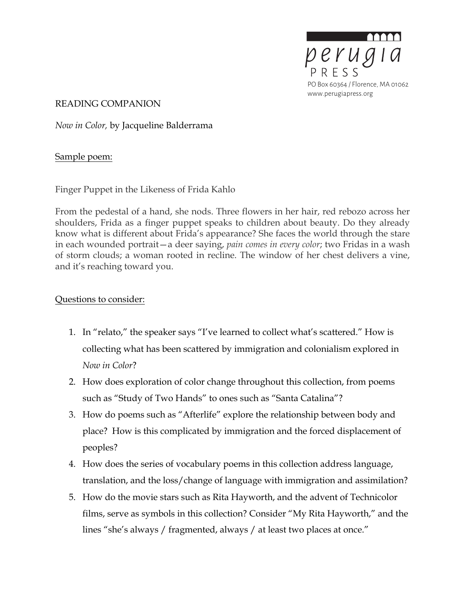

READING COMPANION

*Now in Color,* by Jacqueline Balderrama

## Sample poem:

Finger Puppet in the Likeness of Frida Kahlo

From the pedestal of a hand, she nods. Three flowers in her hair, red rebozo across her shoulders, Frida as a finger puppet speaks to children about beauty. Do they already know what is different about Frida's appearance? She faces the world through the stare in each wounded portrait—a deer saying, *pain comes in every color*; two Fridas in a wash of storm clouds; a woman rooted in recline. The window of her chest delivers a vine, and it's reaching toward you.

### Questions to consider:

- 1. In "relato," the speaker says "I've learned to collect what's scattered." How is collecting what has been scattered by immigration and colonialism explored in *Now in Color*?
- 2. How does exploration of color change throughout this collection, from poems such as "Study of Two Hands" to ones such as "Santa Catalina"?
- 3. How do poems such as "Afterlife" explore the relationship between body and place? How is this complicated by immigration and the forced displacement of peoples?
- 4. How does the series of vocabulary poems in this collection address language, translation, and the loss/change of language with immigration and assimilation?
- 5. How do the movie stars such as Rita Hayworth, and the advent of Technicolor films, serve as symbols in this collection? Consider "My Rita Hayworth," and the lines "she's always / fragmented, always / at least two places at once."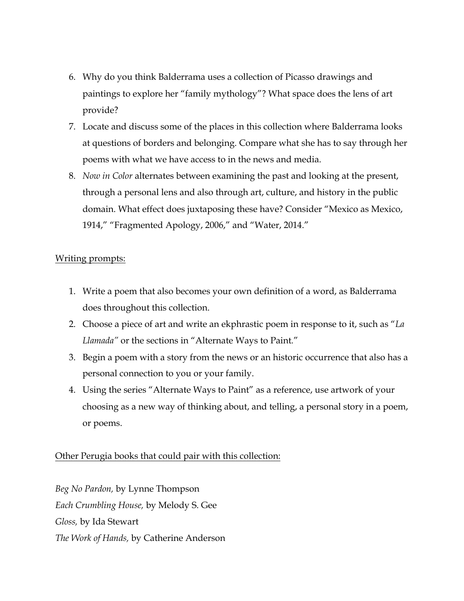- 6. Why do you think Balderrama uses a collection of Picasso drawings and paintings to explore her "family mythology"? What space does the lens of art provide?
- 7. Locate and discuss some of the places in this collection where Balderrama looks at questions of borders and belonging. Compare what she has to say through her poems with what we have access to in the news and media.
- 8. *Now in Color* alternates between examining the past and looking at the present, through a personal lens and also through art, culture, and history in the public domain. What effect does juxtaposing these have? Consider "Mexico as Mexico, 1914," "Fragmented Apology, 2006," and "Water, 2014."

#### Writing prompts:

- 1. Write a poem that also becomes your own definition of a word, as Balderrama does throughout this collection.
- 2. Choose a piece of art and write an ekphrastic poem in response to it, such as "*La Llamada"* or the sections in "Alternate Ways to Paint*.*"
- 3. Begin a poem with a story from the news or an historic occurrence that also has a personal connection to you or your family.
- 4. Using the series "Alternate Ways to Paint" as a reference, use artwork of your choosing as a new way of thinking about, and telling, a personal story in a poem, or poems.

#### Other Perugia books that could pair with this collection:

*Beg No Pardon,* by Lynne Thompson *Each Crumbling House,* by Melody S. Gee *Gloss,* by Ida Stewart *The Work of Hands,* by Catherine Anderson